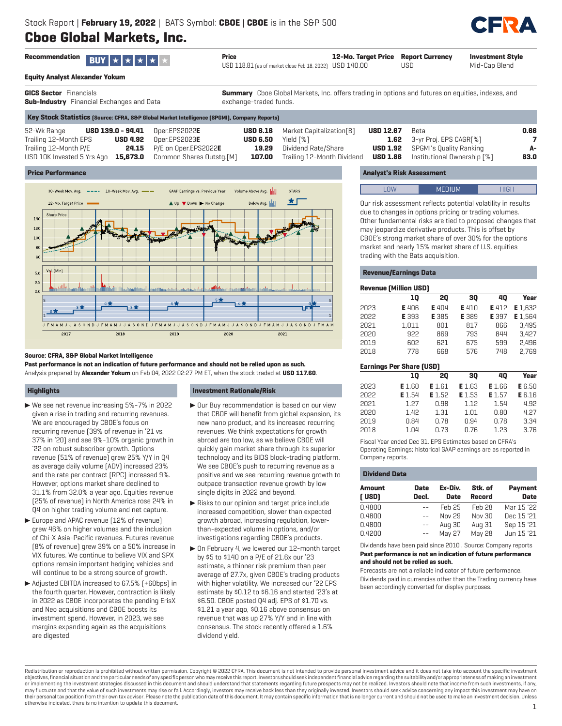# **Cboe Global Markets, Inc.**



| Recommendation <b>BUY</b> $\star$ $\star$ $\star$ $\star$ $\star$ | <b>Price</b>                                            | 12-Mo. Target Price Report Currency |      | <b>Investment Style</b> |
|-------------------------------------------------------------------|---------------------------------------------------------|-------------------------------------|------|-------------------------|
|                                                                   | USD 118.81 [as of market close Feb 18, 2022] USD 140.00 |                                     | USD. | Mid-Cap Blend           |
|                                                                   |                                                         |                                     |      |                         |

**Equity Analyst Alexander Yokum**

**GICS Sector** Financials **Sub-Industry** Financial Exchanges and Data **Summary** Cboe Global Markets, Inc. offers trading in options and futures on equities, indexes, and exchange-traded funds.

| 52-Wk Range           |  | <b>USD 139.0 - 94.41</b> Oper.EPS2022E                       |                           | <b>USD 6.16</b> Market Capitalization [B] | USD 12.67 | Beta                                        | 0.66 |
|-----------------------|--|--------------------------------------------------------------|---------------------------|-------------------------------------------|-----------|---------------------------------------------|------|
| Trailing 12-Month EPS |  | $\text{USD}$ 4.92 Oper.EPS2023E                              | <b>USD 6.50</b> Yield [%] |                                           |           | <b>1.62</b> 3-yr Proj. EPS CAGR[%]          |      |
| Trailing 12-Month P/E |  | <b>24.15</b> P/E on Oper.EPS2022E                            |                           | <b>19.29</b> Dividend Rate/Share          |           | <b>USD 1.92</b> SPGMI's Quality Ranking     | A-   |
|                       |  | USD 10K Invested 5 Yrs Ago 15,673.0 Common Shares Outstg.[M] |                           | <b>107.00</b> Trailing 12-Month Dividend  |           | <b>USD 1.86</b> Institutional Ownership [%] | 83.0 |
|                       |  |                                                              |                           |                                           |           |                                             |      |

## **Price Performance**



## **Source: CFRA, S&P Global Market Intelligence**

**Past performance is not an indication of future performance and should not be relied upon as such.** Analysis prepared by **Alexander Yokum** on Feb 04, 2022 02:27 PM ET, when the stock traded at **USD 117.60**.

## **Highlights**

- $\blacktriangleright$  We see net revenue increasing 5%-7% in 2022 given a rise in trading and recurring revenues. We are encouraged by CBOE's focus on recurring revenue (39% of revenue in '21 vs. 37% in '20) and see 9%-10% organic growth in '22 on robust subscriber growth. Options revenue (51% of revenue) grew 25% Y/Y in Q4 as average daily volume (ADV) increased 23% and the rate per contract (RPC) increased 9%. However, options market share declined to 31.1% from 32.0% a year ago. Equities revenue (25% of revenue) in North America rose 24% in Q4 on higher trading volume and net capture.
- Europe and APAC revenue [12% of revenue] grew 46% on higher volumes and the inclusion of Chi-X Asia-Pacific revenues. Futures revenue (8% of revenue) grew 39% on a 50% increase in VIX futures. We continue to believe VIX and SPX options remain important hedging vehicles and will continue to be a strong source of growth.
- ▶ Adjusted EBITDA increased to 67.5% [+60bps] in the fourth quarter. However, contraction is likely in 2022 as CBOE incorporates the pending ErisX and Neo acquisitions and CBOE boosts its investment spend. However, in 2023, we see margins expanding again as the acquisitions are digested.

## **Investment Rationale/Risk**

- $\blacktriangleright$  Our Buy recommendation is based on our view that CBOE will benefit from global expansion, its new nano product, and its increased recurring revenues. We think expectations for growth abroad are too low, as we believe CBOE will quickly gain market share through its superior technology and its BIDS block-trading platform. We see CBOE's push to recurring revenue as a positive and we see recurring revenue growth to outpace transaction revenue growth by low single digits in 2022 and beyond.
- $\blacktriangleright$  Risks to our opinion and target price include increased competition, slower than expected growth abroad, increasing regulation, lowerthan-expected volume in options, and/or investigations regarding CBOE's products.
- $\triangleright$  On February 4, we lowered our 12-month target by \$5 to \$140 on a P/E of 21.6x our '23 estimate, a thinner risk premium than peer average of 27.7x, given CBOE's trading products with higher volatility. We increased our '22 EPS estimate by \$0.12 to \$6.16 and started '23's at \$6.50. CBOE posted Q4 adj. EPS of \$1.70 vs. \$1.21 a year ago, \$0.16 above consensus on revenue that was up 27% Y/Y and in line with consensus. The stock recently offered a 1.6% dividend yield.

## **Analyst's Risk Assessment**

Our risk assessment reflects potential volatility in results due to changes in options pricing or trading volumes. Other fundamental risks are tied to proposed changes that may jeopardize derivative products. This is offset by CBOE's strong market share of over 30% for the options market and nearly 15% market share of U.S. equities trading with the Bats acquisition.

## **Revenue/Earnings Data**

|      | <b>Revenue [Million USD]</b> |              |       |       |         |
|------|------------------------------|--------------|-------|-------|---------|
|      | 10                           | 20           | 30    | 40    | Year    |
| 2023 | <b>E</b> 406                 | <b>E</b> 404 | E 410 | E 412 | E 1.632 |
| 2022 | E 393                        | E 385        | E 389 | E 397 | E 1.564 |
| 2021 | 1.011                        | 801          | 817   | 866   | 3.495   |
| 2020 | 922                          | 869          | 793   | 844   | 3.427   |
| 2019 | 602                          | 621          | 675   | 599   | 2.496   |
| 2018 | 778                          | 668          | 576   | 748   | 2.769   |

## **Earnings Per Share (USD)**

|      | 10            | 20            | 30            | 40            | Year          |
|------|---------------|---------------|---------------|---------------|---------------|
| 2023 | <b>E</b> 1.60 | <b>E</b> 1.61 | <b>E</b> 1.63 | <b>E</b> 1.66 | <b>E</b> 6.50 |
| 2022 | E 1.54        | E 1.52        | E 1.53        | E 1.57        | E 6.16        |
| 2021 | 1.27          | 0.98          | 1.12          | 1.54          | 4.92          |
| 2020 | 1.42          | 1.31          | 1.01          | 0.80          | 4.27          |
| 2019 | 0.84          | 0.78          | 0.94          | 0.78          | 3.34          |
| 2018 | 1.04          | 0.73          | 0.76          | 1.23          | 3.76          |

Fiscal Year ended Dec 31. EPS Estimates based on CFRA's Operating Earnings; historical GAAP earnings are as reported in Company reports.

| <b>Dividend Data</b>   |               |                        |                          |                        |
|------------------------|---------------|------------------------|--------------------------|------------------------|
| <b>Amount</b><br>[USD] | Date<br>Decl. | Ex-Div.<br><b>Date</b> | Stk. of<br><b>Record</b> | Payment<br><b>Date</b> |
| 0.4800                 |               | Feh 25                 | Feb 28                   | Mar 15 '22             |
| 0.4800                 |               | Nov 29                 | Nny 30                   | Dec 15 '21             |
| 0.4800                 |               | Aug 30                 | Aug 31                   | Sep 15 '21             |
| 0.4200                 |               | May 27                 | May 28                   | Jun 15 '21             |

#### Dividends have been paid since 2010 . Source: Company reports **Past performance is not an indication of future performance and should not be relied as such.**

Forecasts are not a reliable indicator of future performance. Dividends paid in currencies other than the Trading currency have been accordingly converted for display purposes.

Redistribution or reproduction is prohibited without written permission. Copyright © 2022 CFRA. This document is not intended to provide personal investment advice and it does not take into account the specific investment objectives, financial situation and the particular needs of any specific person who may receive this report. Investors should seek independent financial advice regarding the suitability and/or appropriateness of making an or implementing the investment strategies discussed in this document and should understand that statements regarding future prospects may not be realized. Investors should note that income from such investments, if any, may fluctuate and that the value of such investments may rise or fall. Accordingly, investors may receive back less than they originally invested. Investors should seek advice concerning any impact this investment may have their personal tax position from their own tax advisor. Please note the publication date of this document. It may contain specific information that is no longer current and should not be used to make an investment decision otherwise indicated, there is no intention to update this document. 1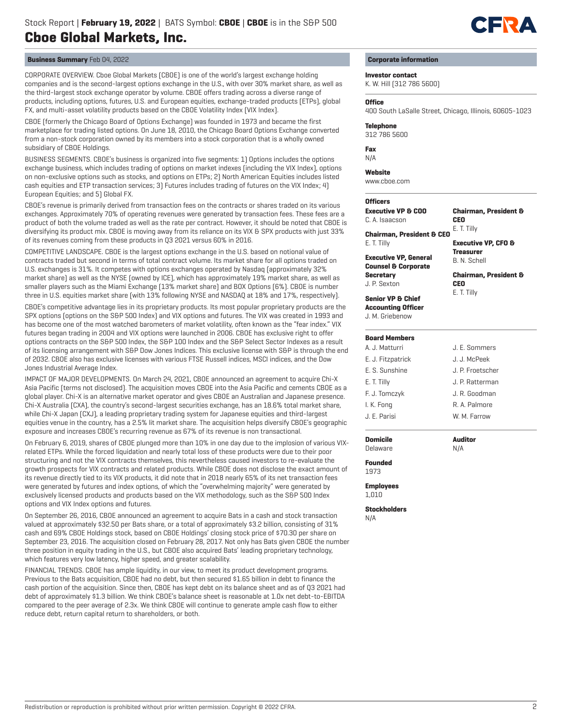

CORPORATE OVERVIEW. Cboe Global Markets (CBOE) is one of the world's largest exchange holding companies and is the second-largest options exchange in the U.S., with over 30% market share, as well as the third-largest stock exchange operator by volume. CBOE offers trading across a diverse range of products, including options, futures, U.S. and European equities, exchange-traded products (ETPs), global FX, and multi-asset volatility products based on the CBOE Volatility Index (VIX Index).

CBOE (formerly the Chicago Board of Options Exchange) was founded in 1973 and became the first marketplace for trading listed options. On June 18, 2010, the Chicago Board Options Exchange converted from a non-stock corporation owned by its members into a stock corporation that is a wholly owned subsidiary of CBOE Holdings.

BUSINESS SEGMENTS. CBOE's business is organized into five segments: 1) Options includes the options exchange business, which includes trading of options on market indexes (including the VIX Index), options on non-exclusive options such as stocks, and options on ETPs; 2) North American Equities includes listed cash equities and ETP transaction services; 3) Futures includes trading of futures on the VIX Index; 4) European Equities; and 5) Global FX.

CBOE's revenue is primarily derived from transaction fees on the contracts or shares traded on its various exchanges. Approximately 70% of operating revenues were generated by transaction fees. These fees are a product of both the volume traded as well as the rate per contract. However, it should be noted that CBOE is diversifying its product mix. CBOE is moving away from its reliance on its VIX & SPX products with just 33% of its revenues coming from these products in Q3 2021 versus 60% in 2016.

COMPETITIVE LANDSCAPE. CBOE is the largest options exchange in the U.S. based on notional value of contracts traded but second in terms of total contract volume. Its market share for all options traded on U.S. exchanges is 31%. It competes with options exchanges operated by Nasdaq (approximately 32% market share) as well as the NYSE (owned by ICE), which has approximately 19% market share, as well as smaller players such as the Miami Exchange (13% market share) and BOX Options (6%). CBOE is number three in U.S. equities market share (with 13% following NYSE and NASDAQ at 18% and 17%, respectively).

CBOE's competitive advantage lies in its proprietary products. Its most popular proprietary products are the SPX options (options on the S&P 500 Index) and VIX options and futures. The VIX was created in 1993 and has become one of the most watched barometers of market volatility, often known as the "fear index." VIX futures began trading in 2004 and VIX options were launched in 2006. CBOE has exclusive right to offer options contracts on the S&P 500 Index, the S&P 100 Index and the S&P Select Sector Indexes as a result of its licensing arrangement with S&P Dow Jones Indices. This exclusive license with S&P is through the end of 2032. CBOE also has exclusive licenses with various FTSE Russell indices, MSCI indices, and the Dow Jones Industrial Average Index.

IMPACT OF MAJOR DEVELOPMENTS. On March 24, 2021, CBOE announced an agreement to acquire Chi-X Asia Pacific (terms not disclosed). The acquisition moves CBOE into the Asia Pacific and cements CBOE as a global player. Chi-X is an alternative market operator and gives CBOE an Australian and Japanese presence. Chi-X Australia (CXA), the country's second-largest securities exchange, has an 18.6% total market share, while Chi-X Japan (CXJ), a leading proprietary trading system for Japanese equities and third-largest equities venue in the country, has a 2.5% lit market share. The acquisition helps diversify CBOE's geographic exposure and increases CBOE's recurring revenue as 67% of its revenue is non transactional.

On February 6, 2019, shares of CBOE plunged more than 10% in one day due to the implosion of various VIXrelated ETPs. While the forced liquidation and nearly total loss of these products were due to their poor structuring and not the VIX contracts themselves, this nevertheless caused investors to re-evaluate the growth prospects for VIX contracts and related products. While CBOE does not disclose the exact amount of its revenue directly tied to its VIX products, it did note that in 2018 nearly 65% of its net transaction fees were generated by futures and index options, of which the "overwhelming majority" were generated by exclusively licensed products and products based on the VIX methodology, such as the S&P 500 Index options and VIX Index options and futures.

On September 26, 2016, CBOE announced an agreement to acquire Bats in a cash and stock transaction valued at approximately \$32.50 per Bats share, or a total of approximately \$3.2 billion, consisting of 31% cash and 69% CBOE Holdings stock, based on CBOE Holdings' closing stock price of \$70.30 per share on September 23, 2016. The acquisition closed on February 28, 2017. Not only has Bats given CBOE the number three position in equity trading in the U.S., but CBOE also acquired Bats' leading proprietary technology, which features very low latency, higher speed, and greater scalability.

FINANCIAL TRENDS. CBOE has ample liquidity, in our view, to meet its product development programs. Previous to the Bats acquisition, CBOE had no debt, but then secured \$1.65 billion in debt to finance the cash portion of the acquisition. Since then, CBOE has kept debt on its balance sheet and as of Q3 2021 had debt of approximately \$1.3 billion. We think CBOE's balance sheet is reasonable at 1.0x net debt-to-EBITDA compared to the peer average of 2.3x. We think CBOE will continue to generate ample cash flow to either reduce debt, return capital return to shareholders, or both.

## **Corporate information**

## **Investor contact**

K. W. Hill (312 786 5600)

#### **Office**

400 South LaSalle Street, Chicago, Illinois, 60605-1023

#### **Telephone**

312 786 5600

**Fax**

N/A

#### **Website**

www.cboe.com

## **Officers**

E. T. Tilly

**Secretary** J. P. Sexton

**Executive VP & COO** C. A. Isaacson

**Executive VP, General Counsel & Corporate** 

**Chairman, President & CEO Chairman, President & CEO** E. T. Tilly

## **Executive VP, CFO & Treasurer** B. N. Schell

**Chairman, President & CEO** E. T. Tilly

## **Senior VP & Chief Accounting Officer**

J. M. Griebenow

## **Board Members**

| A. J. Matturri    | J. E. Sommers    |
|-------------------|------------------|
| E. J. Fitzpatrick | J. J. McPeek     |
| E. S. Sunshine    | J. P. Froetscher |
| E. T. Tilly       | J. P. Ratterman  |
| F. J. Tomczyk     | J. R. Goodman    |
| I. K. Fong        | R. A. Palmore    |
| J. E. Parisi      | W. M. Farrow     |
|                   |                  |

## **Domicile**

Delaware

**Auditor** N/A

#### **Founded** 1973

**Employees** 1,010

**Stockholders** N/A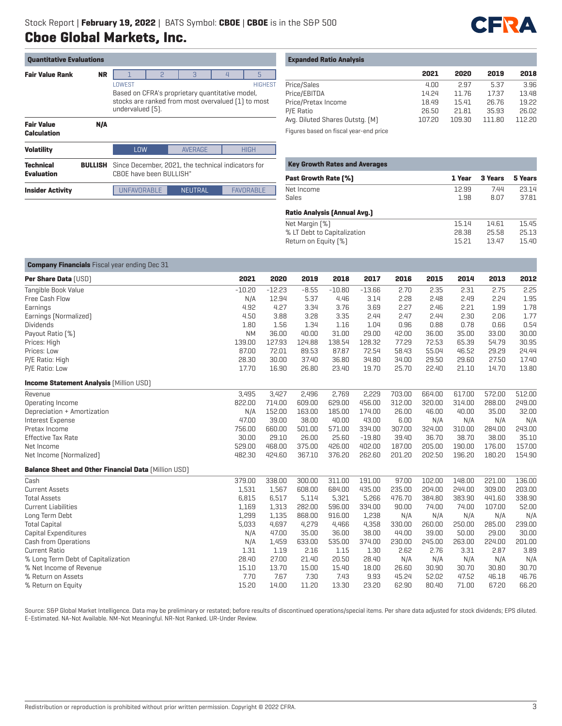

| <b>Quantitative Evaluations</b>       |                |                                                                                                                           |                                                                               |                |                          |                  |  |  |  |
|---------------------------------------|----------------|---------------------------------------------------------------------------------------------------------------------------|-------------------------------------------------------------------------------|----------------|--------------------------|------------------|--|--|--|
| <b>Fair Value Rank</b>                | <b>NR</b>      |                                                                                                                           | P                                                                             | 3              | $\overline{\mathcal{L}}$ | 5                |  |  |  |
|                                       |                | <b>LOWEST</b>                                                                                                             |                                                                               |                |                          | <b>HIGHEST</b>   |  |  |  |
|                                       |                | Based on CFRA's proprietary quantitative model,<br>stocks are ranked from most overvalued [1] to most<br>undervalued [5]. |                                                                               |                |                          |                  |  |  |  |
| <b>Fair Value</b><br>Calculation      | N/A            |                                                                                                                           |                                                                               |                |                          |                  |  |  |  |
| <b>Volatility</b>                     |                | LOW                                                                                                                       |                                                                               | <b>AVERAGE</b> |                          | <b>HIGH</b>      |  |  |  |
| <b>Technical</b><br><b>Evaluation</b> | <b>BULLISH</b> |                                                                                                                           | Since December, 2021, the technical indicators for<br>CBOE have been BULLISH" |                |                          |                  |  |  |  |
| <b>Insider Activity</b>               |                | <b>IINFAVORABI F</b>                                                                                                      |                                                                               | <b>NEUTRAL</b> |                          | <b>FAVORABLE</b> |  |  |  |

## **Expanded Ratio Analysis**

|                                         | 2021   | 2020   | 2019   | 2018   |
|-----------------------------------------|--------|--------|--------|--------|
| Price/Sales                             | 4.00   | 2.97   | 5.37   | 3.96   |
| Price/EBITDA                            | 14.24  | 11.76  | 17.37  | 13.48  |
| Price/Pretax Income                     | 18.49  | 15.41  | 26.76  | 19.22  |
| P/E Ratio                               | 26.50  | 21.81  | 35.93  | 26.02  |
| Avg. Diluted Shares Outstg. (M)         | 107.20 | 109.30 | 111.80 | 112.20 |
| Eigurea based on fiscal vest, and price |        |        |        |        |

Figures based on fiscal year-end price

| <b>Key Growth Rates and Averages</b> |        |         |         |
|--------------------------------------|--------|---------|---------|
| <b>Past Growth Rate [%]</b>          | 1 Year | 3 Years | 5 Years |
| Net Income                           | 12.99  | 7.44    | 23.14   |
| Sales                                | 1.98   | 8.07    | 37.81   |
| <b>Ratio Analysis [Annual Avg.]</b>  |        |         |         |
| Net Margin [%]                       | 15.14  | 14.61   | 15.45   |
| % LT Debt to Capitalization          | 28.38  | 25.58   | 25.13   |
| Return on Equity [%]                 | 15.21  | 13.47   | 15.40   |

| <b>Company Financials</b> Fiscal year ending Dec 31         |           |          |         |          |          |        |        |        |        |        |
|-------------------------------------------------------------|-----------|----------|---------|----------|----------|--------|--------|--------|--------|--------|
| <b>Per Share Data [USD]</b>                                 | 2021      | 2020     | 2019    | 2018     | 2017     | 2016   | 2015   | 2014   | 2013   | 2012   |
| Tangible Book Value                                         | $-10.20$  | $-12.23$ | $-8.55$ | $-10.80$ | $-13.66$ | 2.70   | 2.35   | 2.31   | 2.75   | 2.25   |
| Free Cash Flow                                              | N/A       | 12.94    | 5.37    | 4.46     | 3.14     | 2.28   | 2.48   | 2.49   | 2.24   | 1.95   |
| Earnings                                                    | 4.92      | 4.27     | 3.34    | 3.76     | 3.69     | 2.27   | 2.46   | 2.21   | 1.99   | 1.78   |
| Earnings [Normalized]                                       | 4.50      | 3.88     | 3.28    | 3.35     | 2.44     | 2.47   | 2.44   | 2.30   | 2.06   | 1.77   |
| <b>Dividends</b>                                            | 1.80      | 1.56     | 1.34    | 1.16     | 1.04     | 0.96   | 0.88   | 0.78   | 0.66   | 0.54   |
| Payout Ratio [%]                                            | <b>NM</b> | 36.00    | 40.00   | 31.00    | 29.00    | 42.00  | 36.00  | 35.00  | 33.00  | 30.00  |
| Prices: High                                                | 139.00    | 127.93   | 124.88  | 138.54   | 128.32   | 77.29  | 72.53  | 65.39  | 54.79  | 30.95  |
| Prices: Low                                                 | 87.00     | 72.01    | 89.53   | 87.87    | 72.54    | 58.43  | 55.04  | 46.52  | 29.29  | 24.44  |
| P/E Ratio: High                                             | 28.30     | 30.00    | 37.40   | 36.80    | 34.80    | 34.00  | 29.50  | 29.60  | 27.50  | 17.40  |
| P/E Ratio: Low                                              | 17.70     | 16.90    | 26.80   | 23.40    | 19.70    | 25.70  | 22.40  | 21.10  | 14.70  | 13.80  |
| <b>Income Statement Analysis [Million USD]</b>              |           |          |         |          |          |        |        |        |        |        |
| Revenue                                                     | 3.495     | 3,427    | 2,496   | 2,769    | 2,229    | 703.00 | 664.00 | 617.00 | 572.00 | 512.00 |
| Operating Income                                            | 822.00    | 714.00   | 609.00  | 629.00   | 456.00   | 312.00 | 320.00 | 314.00 | 288.00 | 249.00 |
| Depreciation + Amortization                                 | N/A       | 152.00   | 163.00  | 185.00   | 174.00   | 26.00  | 46.00  | 40.00  | 35.00  | 32.00  |
| Interest Expense                                            | 47.00     | 39.00    | 38.00   | 40.00    | 43.00    | 6.00   | N/A    | N/A    | N/A    | N/A    |
| Pretax Income                                               | 756.00    | 660.00   | 501.00  | 571.00   | 334.00   | 307.00 | 324.00 | 310.00 | 284.00 | 243.00 |
| <b>Effective Tax Rate</b>                                   | 30.00     | 29.10    | 26.00   | 25.60    | $-19.80$ | 39.40  | 36.70  | 38.70  | 38.00  | 35.10  |
| Net Income                                                  | 529.00    | 468.00   | 375.00  | 426.00   | 402.00   | 187.00 | 205.00 | 190.00 | 176.00 | 157.00 |
| Net Income (Normalized)                                     | 482.30    | 424.60   | 367.10  | 376.20   | 262.60   | 201.20 | 202.50 | 196.20 | 180.20 | 154.90 |
| <b>Balance Sheet and Other Financial Data [Million USD]</b> |           |          |         |          |          |        |        |        |        |        |
| Cash                                                        | 379.00    | 338.00   | 300.00  | 311.00   | 191.00   | 97.00  | 102.00 | 148.00 | 221.00 | 136.00 |
| <b>Current Assets</b>                                       | 1,531     | 1,567    | 608.00  | 684.00   | 435.00   | 235.00 | 204.00 | 244.00 | 309.00 | 203.00 |
| <b>Total Assets</b>                                         | 6,815     | 6,517    | 5,114   | 5,321    | 5,266    | 476.70 | 384.80 | 383.90 | 441.60 | 338.90 |
| <b>Current Liabilities</b>                                  | 1,169     | 1,313    | 282.00  | 596.00   | 334.00   | 90.00  | 74.00  | 74.00  | 107.00 | 52.00  |
| Long Term Debt                                              | 1,299     | 1,135    | 868.00  | 916.00   | 1,238    | N/A    | N/A    | N/A    | N/A    | N/A    |
| <b>Total Capital</b>                                        | 5,033     | 4,697    | 4,279   | 4,466    | 4,358    | 330.00 | 260.00 | 250.00 | 285.00 | 239.00 |
| Capital Expenditures                                        | N/A       | 47.00    | 35.00   | 36.00    | 38.00    | 44.00  | 39.00  | 50.00  | 29.00  | 30.00  |
| Cash from Operations                                        | N/A       | 1,459    | 633.00  | 535.00   | 374.00   | 230.00 | 245.00 | 263.00 | 224.00 | 201.00 |
| <b>Current Ratio</b>                                        | 1.31      | 1.19     | 2.16    | 1.15     | 1.30     | 2.62   | 2.76   | 3.31   | 2.87   | 3.89   |
| % Long Term Debt of Capitalization                          | 28.40     | 27.00    | 21.40   | 20.50    | 28.40    | N/A    | N/A    | N/A    | N/A    | N/A    |
| % Net Income of Revenue                                     | 15.10     | 13.70    | 15.00   | 15.40    | 18.00    | 26.60  | 30.90  | 30.70  | 30.80  | 30.70  |
| % Return on Assets                                          | 7.70      | 7.67     | 7.30    | 7.43     | 9.93     | 45.24  | 52.02  | 47.52  | 46.18  | 46.76  |
| % Return on Equity                                          | 15.20     | 14.00    | 11.20   | 13.30    | 23.20    | 62.90  | 80.40  | 71.00  | 67.20  | 66.20  |

Source: S&P Global Market Intelligence. Data may be preliminary or restated; before results of discontinued operations/special items. Per share data adjusted for stock dividends; EPS diluted. E-Estimated. NA-Not Available. NM-Not Meaningful. NR-Not Ranked. UR-Under Review.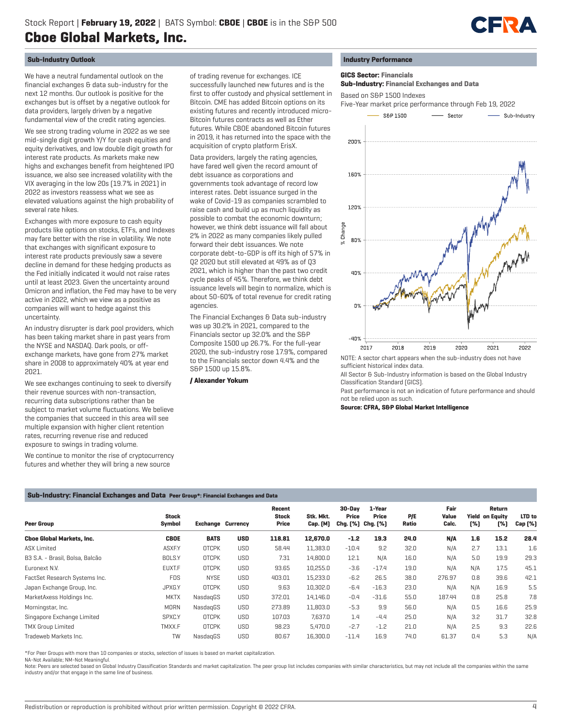

## **Sub-Industry Outlook**

We have a neutral fundamental outlook on the financial exchanges & data sub-industry for the next 12 months. Our outlook is positive for the exchanges but is offset by a negative outlook for data providers, largely driven by a negative fundamental view of the credit rating agencies.

We see strong trading volume in 2022 as we see mid-single digit growth Y/Y for cash equities and equity derivatives, and low double digit growth for interest rate products. As markets make new highs and exchanges benefit from heightened IPO issuance, we also see increased volatility with the VIX averaging in the low 20s (19.7% in 2021) in 2022 as investors reassess what we see as elevated valuations against the high probability of several rate hikes.

Exchanges with more exposure to cash equity products like options on stocks, ETFs, and Indexes may fare better with the rise in volatility. We note that exchanges with significant exposure to interest rate products previously saw a severe decline in demand for these hedging products as the Fed initially indicated it would not raise rates until at least 2023. Given the uncertainty around Omicron and inflation, the Fed may have to be very active in 2022, which we view as a positive as companies will want to hedge against this uncertainty.

An industry disrupter is dark pool providers, which has been taking market share in past years from the NYSE and NASDAQ. Dark pools, or offexchange markets, have gone from 27% market share in 2008 to approximately 40% at year end 2021.

We see exchanges continuing to seek to diversify their revenue sources with non-transaction, recurring data subscriptions rather than be subject to market volume fluctuations. We believe the companies that succeed in this area will see multiple expansion with higher client retention rates, recurring revenue rise and reduced exposure to swings in trading volume.

We continue to monitor the rise of cryptocurrency futures and whether they will bring a new source

of trading revenue for exchanges. ICE successfully launched new futures and is the first to offer custody and physical settlement in Bitcoin. CME has added Bitcoin options on its existing futures and recently introduced micro-Bitcoin futures contracts as well as Ether futures. While CBOE abandoned Bitcoin futures in 2019, it has returned into the space with the acquisition of crypto platform ErisX.

Data providers, largely the rating agencies, have fared well given the record amount of debt issuance as corporations and governments took advantage of record low interest rates. Debt issuance surged in the wake of Covid-19 as companies scrambled to raise cash and build up as much liquidity as possible to combat the economic downturn; however, we think debt issuance will fall about 2% in 2022 as many companies likely pulled forward their debt issuances. We note corporate debt-to-GDP is off its high of 57% in Q2 2020 but still elevated at 49% as of Q3 2021, which is higher than the past two credit cycle peaks of 45%. Therefore, we think debt issuance levels will begin to normalize, which is about 50-60% of total revenue for credit rating agencies.

The Financial Exchanges & Data sub-industry was up 30.2% in 2021, compared to the Financials sector up 32.0% and the S&P Composite 1500 up 26.7%. For the full-year 2020, the sub-industry rose 17.9%, compared to the Financials sector down 4.4% and the S&P 1500 up 15.8%.

#### **/ Alexander Yokum**

## **Industry Performance**

 **GICS Sector: Financials**

 **Sub-Industry: Financial Exchanges and Data**

Based on S&P 1500 Indexes



sufficient historical index data.

All Sector & Sub-Industry information is based on the Global Industry Classification Standard (GICS).

Past performance is not an indication of future performance and should not be relied upon as such.

**Source: CFRA, S&P Global Market Intelligence**

#### **Sub-Industry: Financial Exchanges and Data Peer Group\*: Financial Exchanges and Data**

| Peer Group                       | <b>Stock</b><br>Symbol | <b>Exchange Currency</b> |            | Recent<br><b>Stock</b><br>Price | Stk. Mkt.<br>Cap. [M] | 30-Dav<br>Price<br>Chg. [%] Chg. [%] | 1-Year<br>Price | P/E<br>Ratio | Fair<br>Value<br>Calc. | [%] | Return<br><b>Yield on Equity</b><br>[%] | LTD to<br>Cap (%) |
|----------------------------------|------------------------|--------------------------|------------|---------------------------------|-----------------------|--------------------------------------|-----------------|--------------|------------------------|-----|-----------------------------------------|-------------------|
| <b>Choe Global Markets, Inc.</b> | <b>CBOE</b>            | <b>BATS</b>              | <b>USD</b> | 118.81                          | 12,670.0              | $-1.2$                               | 19.3            | 24.0         | N/A                    | 1.6 | 15.2                                    | 28.4              |
| <b>ASX Limited</b>               | ASXF.Y                 | <b>OTCPK</b>             | <b>USD</b> | 58.44                           | 11,383.0              | $-10.4$                              | 9.2             | 32.0         | N/A                    | 2.7 | 13.1                                    | 1.6               |
| B3 S.A. - Brasil, Bolsa, Balcão  | BOLS.Y                 | <b>OTCPK</b>             | USD        | 7.31                            | 14,800.0              | 12.1                                 | N/A             | 16.0         | N/A                    | 5.0 | 19.9                                    | 29.3              |
| Euronext N.V.                    | <b>EUXT.F</b>          | <b>OTCPK</b>             | USD        | 93.65                           | 10,255.0              | $-3.6$                               | $-17.4$         | 19.0         | N/A                    | N/A | 17.5                                    | 45.1              |
| FactSet Research Systems Inc.    | <b>FDS</b>             | <b>NYSE</b>              | USD        | 403.01                          | 15,233.0              | $-6.2$                               | 26.5            | 38.0         | 276.97                 | 0.8 | 39.6                                    | 42.1              |
| Japan Exchange Group, Inc.       | JPXG.Y                 | <b>OTCPK</b>             | <b>USD</b> | 9.63                            | 10,302.0              | $-6.4$                               | $-16.3$         | 23.0         | N/A                    | N/A | 16.9                                    | 5.5               |
| MarketAxess Holdings Inc.        | <b>MKTX</b>            | NasdagGS                 | <b>USD</b> | 372.01                          | 14,146.0              | $-0.4$                               | $-31.6$         | 55.0         | 187.44                 | 0.8 | 25.8                                    | 7.8               |
| Morningstar, Inc.                | <b>MORN</b>            | NasdagGS                 | <b>USD</b> | 273.89                          | 11,803.0              | $-5.3$                               | 9.9             | 56.0         | N/A                    | 0.5 | 16.6                                    | 25.9              |
| Singapore Exchange Limited       | SPXC.Y                 | <b>OTCPK</b>             | USD        | 107.03                          | 7,637.0               | 1.4                                  | $-4.4$          | 25.0         | N/A                    | 3.2 | 31.7                                    | 32.8              |
| <b>TMX Group Limited</b>         | TMXX.F                 | <b>OTCPK</b>             | USD        | 98.23                           | 5,470.0               | $-2.7$                               | $-1.2$          | 21.0         | N/A                    | 2.5 | 9.3                                     | 22.6              |
| Tradeweb Markets Inc.            | TW                     | NasdagGS                 | <b>USD</b> | 80.67                           | 16,300.0              | $-11.4$                              | 16.9            | 74.0         | 61.37                  | 0.4 | 5.3                                     | N/A               |

\*For Peer Groups with more than 10 companies or stocks, selection of issues is based on market capitalization.

NA-Not Available; NM-Not Meaningful.

Note: Peers are selected based on Global Industry Classification Standards and market capitalization. The peer group list includes companies with similar characteristics, but may not include all the companies within the sa industry and/or that engage in the same line of business.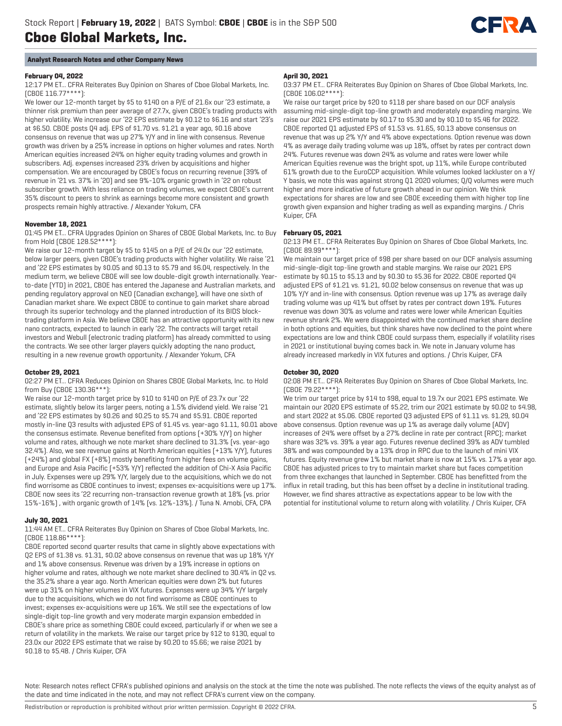

## **Analyst Research Notes and other Company News**

## **February 04, 2022**

12:17 PM ET... CFRA Reiterates Buy Opinion on Shares of Cboe Global Markets, Inc. (CBOE 116.77\*\*\*\*):

We lower our 12-month target by \$5 to \$140 on a P/E of 21.6x our '23 estimate, a thinner risk premium than peer average of 27.7x, given CBOE's trading products with higher volatility. We increase our '22 EPS estimate by \$0.12 to \$6.16 and start '23's at \$6.50. CBOE posts Q4 adj. EPS of \$1.70 vs. \$1.21 a year ago, \$0.16 above consensus on revenue that was up 27% Y/Y and in line with consensus. Revenue growth was driven by a 25% increase in options on higher volumes and rates. North American equities increased 24% on higher equity trading volumes and growth in subscribers. Adj. expenses increased 23% driven by acquisitions and higher compensation. We are encouraged by CBOE's focus on recurring revenue (39% of revenue in '21 vs. 37% in '20) and see 9%-10% organic growth in '22 on robust subscriber growth. With less reliance on trading volumes, we expect CBOE's current 35% discount to peers to shrink as earnings become more consistent and growth prospects remain highly attractive. / Alexander Yokum, CFA

## **November 18, 2021**

01:45 PM ET... CFRA Upgrades Opinion on Shares of CBOE Global Markets, Inc. to Buy from Hold (CBOE 128.52\*\*\*\*):

We raise our 12-month target by \$5 to \$145 on a P/E of 24.0x our '22 estimate, below larger peers, given CBOE's trading products with higher volatility. We raise '21 and '22 EPS estimates by \$0.05 and \$0.13 to \$5.79 and \$6.04, respectively. In the medium term, we believe CBOE will see low double-digit growth internationally. Yearto-date (YTD) in 2021, CBOE has entered the Japanese and Australian markets, and pending regulatory approval on NEO (Canadian exchange), will have one sixth of Canadian market share. We expect CBOE to continue to gain market share abroad through its superior technology and the planned introduction of its BIDS blocktrading platform in Asia. We believe CBOE has an attractive opportunity with its new nano contracts, expected to launch in early '22. The contracts will target retail investors and Webull (electronic trading platform) has already committed to using the contracts. We see other larger players quickly adopting the nano product, resulting in a new revenue growth opportunity. / Alexander Yokum, CFA

## **October 29, 2021**

02:27 PM ET... CFRA Reduces Opinion on Shares CBOE Global Markets, Inc. to Hold from Buy (CBOE 130.36\*\*\*):

We raise our 12-month target price by \$10 to \$140 on P/E of 23.7x our '22 estimate, slightly below its larger peers, noting a 1.5% dividend yield. We raise '21 and '22 EPS estimates by \$0.26 and \$0.25 to \$5.74 and \$5.91. CBOE reported mostly in-line Q3 results with adjusted EPS of \$1.45 vs. year-ago \$1.11, \$0.01 above the consensus estimate. Revenue benefited from options (+30% Y/Y) on higher volume and rates, although we note market share declined to 31.3% (vs. year-ago 32.4%). Also, we see revenue gains at North American equities (+13% Y/Y), futures (+24%) and global FX (+8%) mostly benefiting from higher fees on volume gains, and Europe and Asia Pacific (+53% Y/Y) reflected the addition of Chi-X Asia Pacific in July. Expenses were up 29% Y/Y, largely due to the acquisitions, which we do not find worrisome as CBOE continues to invest; expenses ex-acquisitions were up 17%. CBOE now sees its '22 recurring non-transaction revenue growth at 18% (vs. prior 15%-16%) , with organic growth of 14% (vs. 12%-13%). / Tuna N. Amobi, CFA, CPA

## **July 30, 2021**

## 11:44 AM ET... CFRA Reiterates Buy Opinion on Shares of Cboe Global Markets, Inc. (CBOE 118.86\*\*\*\*):

CBOE reported second quarter results that came in slightly above expectations with Q2 EPS of \$1.38 vs. \$1.31, \$0.02 above consensus on revenue that was up 18% Y/Y and 1% above consensus. Revenue was driven by a 19% increase in options on higher volume and rates, although we note market share declined to 30.4% in Q2 vs. the 35.2% share a year ago. North American equities were down 2% but futures were up 31% on higher volumes in VIX futures. Expenses were up 34% Y/Y largely due to the acquisitions, which we do not find worrisome as CBOE continues to invest; expenses ex-acquisitions were up 16%. We still see the expectations of low single-digit top-line growth and very moderate margin expansion embedded in CBOE's share price as something CBOE could exceed, particularly if or when we see a return of volatility in the markets. We raise our target price by \$12 to \$130, equal to 23.0x our 2022 EPS estimate that we raise by \$0.20 to \$5.66; we raise 2021 by \$0.18 to \$5.48. / Chris Kuiper, CFA

#### **April 30, 2021**

03:37 PM ET... CFRA Reiterates Buy Opinion on Shares of Cboe Global Markets, Inc. (CBOE 106.02\*\*\*\*):

We raise our target price by \$20 to \$118 per share based on our DCF analysis assuming mid-single-digit top-line growth and moderately expanding margins. We raise our 2021 EPS estimate by \$0.17 to \$5.30 and by \$0.10 to \$5.46 for 2022. CBOE reported Q1 adjusted EPS of \$1.53 vs. \$1.65, \$0.13 above consensus on revenue that was up 2% Y/Y and 4% above expectations. Option revenue was down 4% as average daily trading volume was up 18%, offset by rates per contract down 24%. Futures revenue was down 24% as volume and rates were lower while American Equities revenue was the bright spot, up 11%, while Europe contributed 61% growth due to the EuroCCP acquisition. While volumes looked lackluster on a Y/ Y basis, we note this was against strong Q1 2020 volumes; Q/Q volumes were much higher and more indicative of future growth ahead in our opinion. We think expectations for shares are low and see CBOE exceeding them with higher top line growth given expansion and higher trading as well as expanding margins. / Chris Kuiper, CFA

## **February 05, 2021**

02:13 PM ET... CFRA Reiterates Buy Opinion on Shares of Cboe Global Markets, Inc. (CBOE 89.99\*\*\*\*):

We maintain our target price of \$98 per share based on our DCF analysis assuming mid-single-digit top-line growth and stable margins. We raise our 2021 EPS estimate by \$0.15 to \$5.13 and by \$0.30 to \$5.36 for 2022. CBOE reported Q4 adjusted EPS of \$1.21 vs. \$1.21, \$0.02 below consensus on revenue that was up 10% Y/Y and in-line with consensus. Option revenue was up 17% as average daily trading volume was up 41% but offset by rates per contract down 19%. Futures revenue was down 30% as volume and rates were lower while American Equities revenue shrank 2%. We were disappointed with the continued market share decline in both options and equities, but think shares have now declined to the point where expectations are low and think CBOE could surpass them, especially if volatility rises in 2021 or institutional buying comes back in. We note in January volume has already increased markedly in VIX futures and options. / Chris Kuiper, CFA

## **October 30, 2020**

02:08 PM ET... CFRA Reiterates Buy Opinion on Shares of Cboe Global Markets, Inc. (CBOE 79.22\*\*\*\*):

We trim our target price by \$14 to \$98, equal to 19.7x our 2021 EPS estimate. We maintain our 2020 EPS estimate of \$5.22, trim our 2021 estimate by \$0.02 to \$4.98, and start 2022 at \$5.06. CBOE reported Q3 adjusted EPS of \$1.11 vs. \$1.29, \$0.04 above consensus. Option revenue was up 1% as average daily volume (ADV) increases of 24% were offset by a 27% decline in rate per contract (RPC); market share was 32% vs. 39% a year ago. Futures revenue declined 39% as ADV tumbled 38% and was compounded by a 13% drop in RPC due to the launch of mini VIX futures. Equity revenue grew 1% but market share is now at 15% vs. 17% a year ago. CBOE has adjusted prices to try to maintain market share but faces competition from three exchanges that launched in September. CBOE has benefitted from the influx in retail trading, but this has been offset by a decline in institutional trading. However, we find shares attractive as expectations appear to be low with the potential for institutional volume to return along with volatility. / Chris Kuiper, CFA

Note: Research notes reflect CFRA's published opinions and analysis on the stock at the time the note was published. The note reflects the views of the equity analyst as of the date and time indicated in the note, and may not reflect CFRA's current view on the company.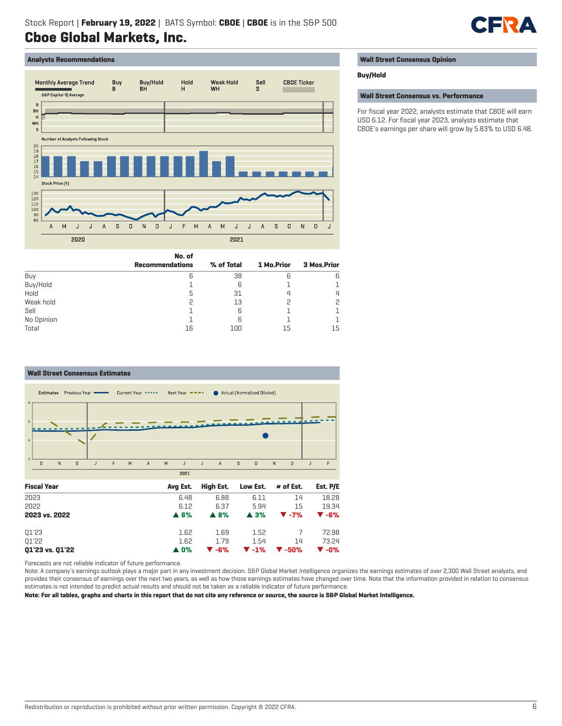

## **Analysts Recommendations**



|            | No. of                 |            |            |             |
|------------|------------------------|------------|------------|-------------|
|            | <b>Recommendations</b> | % of Total | 1 Mo.Prior | 3 Mos.Prior |
| Buy        | 6                      | 38         | 6          | 6           |
| Buy/Hold   |                        | 6          |            |             |
| Hold       |                        | 31         | 4          |             |
| Weak hold  |                        | 13         | 2          |             |
| Sell       |                        | 6          |            |             |
| No Opinion |                        | 6          |            |             |
| Total      | 16                     | 100        | 15         | 15          |

#### **Wall Street Consensus Estimates** Current Year \*\*\*\*\* Estimates Previous Year -Next Year  $\bullet$   $\bullet$   $\bullet$   $\bullet$ Actual (Normalized Diluted)  $\Omega$  $\overline{N}$  $\overline{D}$ F  $M$  $\overline{A}$ M J.  $\mathbf{J}$  $\overline{A}$  $\overline{\mathbf{s}}$  $\overline{0}$ N  $\overline{D}$  $\overline{1}$  $\overline{F}$  $\overline{1}$ 2021 **Fiscal Year Avg Est. High Est. Low Est. # of Est. Est. P/E** 2023 6.48 6.88 6.11 14 18.28

| 2022            | G 12        | 6.37                | 5.94                                               | 15                       | 19.34                    |
|-----------------|-------------|---------------------|----------------------------------------------------|--------------------------|--------------------------|
| 2023 vs. 2022   | A.6%        | $\blacktriangle$ 8% | $\blacktriangle$ 3%                                | $\blacktriangledown$ -7% | $\blacktriangledown$ -6% |
| 01'23           | 1.62        | 1.69                | 1.52                                               |                          | 72.98                    |
| 01'22           | 1.62        | 1.79                | 1.54                                               | 14                       | 73.24                    |
| Q1'23 vs. Q1'22 | <b>A</b> 0% | ▼ -6%               | $\blacktriangledown$ -1% $\blacktriangledown$ -50% |                          | $\blacktriangledown$ -0% |

Forecasts are not reliable indicator of future performance.

Note: A company's earnings outlook plays a major part in any investment decision. S&P Global Market Intelligence organizes the earnings estimates of over 2,300 Wall Street analysts, and provides their consensus of earnings over the next two years, as well as how those earnings estimates have changed over time. Note that the information provided in relation to consensus estimates is not intended to predict actual results and should not be taken as a reliable indicator of future performance.

**Note: For all tables, graphs and charts in this report that do not cite any reference or source, the source is S&P Global Market Intelligence.**

## **Wall Street Consensus Opinion**

## **Buy/Hold**

**Wall Street Consensus vs. Performance**

For fiscal year 2022, analysts estimate that CBOE will earn USD 6.12. For fiscal year 2023, analysts estimate that CBOE's earnings per share will grow by 5.83% to USD 6.48.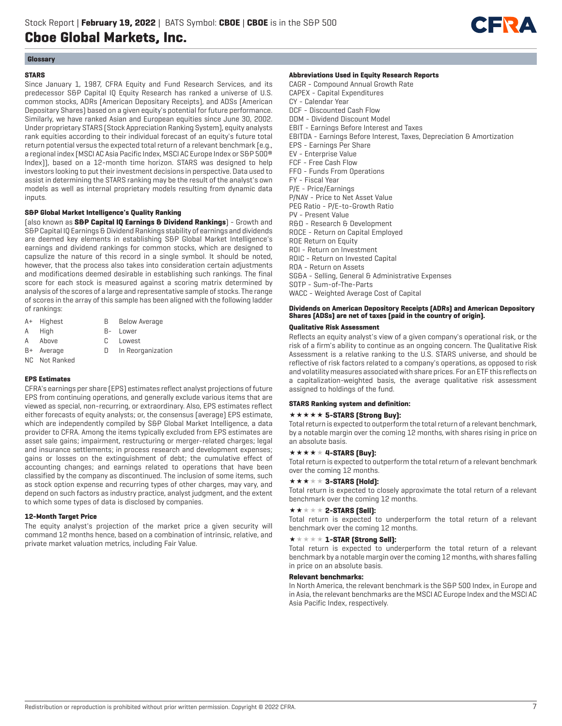

## **Glossary**

## **STARS**

Since January 1, 1987, CFRA Equity and Fund Research Services, and its predecessor S&P Capital IQ Equity Research has ranked a universe of U.S. common stocks, ADRs (American Depositary Receipts), and ADSs (American Depositary Shares) based on a given equity's potential for future performance. Similarly, we have ranked Asian and European equities since June 30, 2002. Under proprietary STARS (Stock Appreciation Ranking System), equity analysts rank equities according to their individual forecast of an equity's future total return potential versus the expected total return of a relevant benchmark (e.g., a regional index (MSCI AC Asia Pacific Index, MSCI AC Europe Index or S&P 500® Index)), based on a 12-month time horizon. STARS was designed to help investors looking to put their investment decisions in perspective. Data used to assist in determining the STARS ranking may be the result of the analyst's own models as well as internal proprietary models resulting from dynamic data inputs.

## **S&P Global Market Intelligence's Quality Ranking**

(also known as **S&P Capital IQ Earnings & Dividend Rankings**) - Growth and S&P Capital IQ Earnings & Dividend Rankings stability of earnings and dividends are deemed key elements in establishing S&P Global Market Intelligence's earnings and dividend rankings for common stocks, which are designed to capsulize the nature of this record in a single symbol. It should be noted, however, that the process also takes into consideration certain adjustments and modifications deemed desirable in establishing such rankings. The final score for each stock is measured against a scoring matrix determined by analysis of the scores of a large and representative sample of stocks. The range of scores in the array of this sample has been aligned with the following ladder of rankings:

- A+ Highest B Below Average
- A High B- Lower
- A Above C Lowest
- B+ Average D In Reorganization
- 
- NC Not Ranked

## **EPS Estimates**

CFRA's earnings per share (EPS) estimates reflect analyst projections of future EPS from continuing operations, and generally exclude various items that are viewed as special, non-recurring, or extraordinary. Also, EPS estimates reflect either forecasts of equity analysts; or, the consensus (average) EPS estimate, which are independently compiled by S&P Global Market Intelligence, a data provider to CFRA. Among the items typically excluded from EPS estimates are asset sale gains; impairment, restructuring or merger-related charges; legal and insurance settlements; in process research and development expenses; gains or losses on the extinguishment of debt; the cumulative effect of accounting changes; and earnings related to operations that have been classified by the company as discontinued. The inclusion of some items, such as stock option expense and recurring types of other charges, may vary, and depend on such factors as industry practice, analyst judgment, and the extent to which some types of data is disclosed by companies.

## **12-Month Target Price**

The equity analyst's projection of the market price a given security will command 12 months hence, based on a combination of intrinsic, relative, and private market valuation metrics, including Fair Value.

## **Abbreviations Used in Equity Research Reports**

CAGR - Compound Annual Growth Rate CAPEX - Capital Expenditures CY - Calendar Year DCF - Discounted Cash Flow DDM - Dividend Discount Model EBIT - Earnings Before Interest and Taxes EBITDA - Earnings Before Interest, Taxes, Depreciation & Amortization EPS - Earnings Per Share EV - Enterprise Value FCF - Free Cash Flow FFO - Funds From Operations FY - Fiscal Year P/E - Price/Earnings P/NAV - Price to Net Asset Value PEG Ratio - P/E-to-Growth Ratio PV - Present Value R&D - Research & Development ROCE - Return on Capital Employed ROE Return on Equity ROI - Return on Investment ROIC - Return on Invested Capital ROA - Return on Assets SG&A - Selling, General & Administrative Expenses SOTP - Sum-of-The-Parts WACC - Weighted Average Cost of Capital

## **Dividends on American Depository Receipts (ADRs) and American Depository Shares (ADSs) are net of taxes (paid in the country of origin).**

## **Qualitative Risk Assessment**

Reflects an equity analyst's view of a given company's operational risk, or the risk of a firm's ability to continue as an ongoing concern. The Qualitative Risk Assessment is a relative ranking to the U.S. STARS universe, and should be reflective of risk factors related to a company's operations, as opposed to risk and volatility measures associated with share prices. For an ETF this reflects on a capitalization-weighted basis, the average qualitative risk assessment assigned to holdings of the fund.

## **STARS Ranking system and definition:**

## **\*\*\*\*\* 5-STARS (Strong Buy):**

Total return is expected to outperform the total return of a relevant benchmark, by a notable margin over the coming 12 months, with shares rising in price on an absolute basis.

## $\star \star \star \star \star 4$ -STARS [Buy]:

Total return is expected to outperform the total return of a relevant benchmark over the coming 12 months.

## $\star \star \star \star \star 3$ -STARS (Hold):

Total return is expected to closely approximate the total return of a relevant benchmark over the coming 12 months.

## $\star\star\star\star\star$  2-STARS [Sell]:

Total return is expected to underperform the total return of a relevant benchmark over the coming 12 months.

## $\star \star \star \star \star \mathbf{1}$ -STAR (Strong Sell):

Total return is expected to underperform the total return of a relevant benchmark by a notable margin over the coming 12 months, with shares falling in price on an absolute basis.

## **Relevant benchmarks:**

In North America, the relevant benchmark is the S&P 500 Index, in Europe and in Asia, the relevant benchmarks are the MSCI AC Europe Index and the MSCI AC Asia Pacific Index, respectively.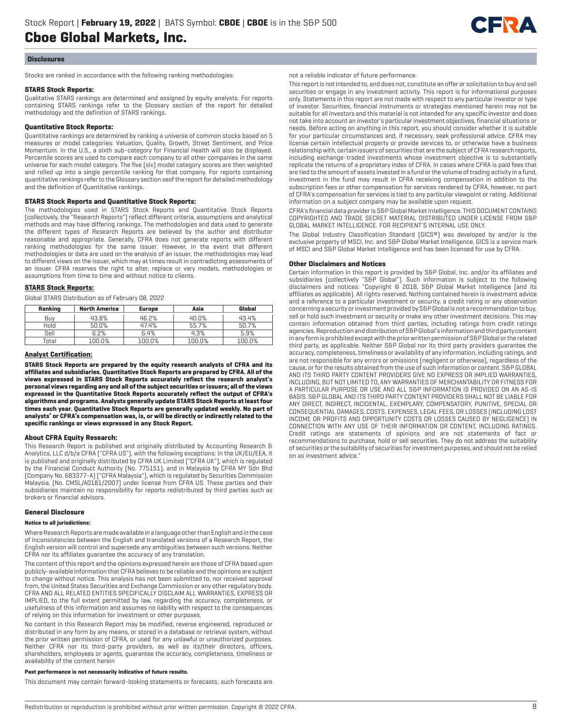

## **Disclosures**

Stocks are ranked in accordance with the following ranking methodologies:

#### **STARS Stock Reports:**

Qualitative STARS rankings are determined and assigned by equity analysts. For reports containing STARS rankings refer to the Glossary section of the report for detailed methodology and the definition of STARS rankings.

## **Quantitative Stock Reports:**

Quantitative rankings are determined by ranking a universe of common stocks based on 5 measures or model categories: Valuation, Quality, Growth, Street Sentiment, and Price Momentum. In the U.S., a sixth sub-category for Financial Health will also be displayed. Percentile scores are used to compare each company to all other companies in the same universe for each model category. The five (six) model category scores are then weighted and rolled up into a single percentile ranking for that company. For reports containing quantitative rankings refer to the Glossary section seof the report for detailed methodology and the definition of Quantitative rankings.

## **STARS Stock Reports and Quantitative Stock Reports:**

The methodologies used in STARS Stock Reports and Quantitative Stock Reports (collectively, the "Research Reports") reflect different criteria, assumptions and analytical methods and may have differing rankings. The methodologies and data used to generate the different types of Research Reports are believed by the author and distributor reasonable and appropriate. Generally, CFRA does not generate reports with different ranking methodologies for the same issuer. However, in the event that different methodologies or data are used on the analysis of an issuer, the methodologies may lead to different views on the issuer, which may at times result in contradicting assessments of an issuer. CFRA reserves the right to alter, replace or vary models, methodologies or assumptions from time to time and without notice to clients.

## **STARS Stock Reports:**

Global STARS Distribution as of February 08, 2022

| Ranking | <b>North America</b> | <b>Europe</b> | Asia   | Global |
|---------|----------------------|---------------|--------|--------|
| Buv     | 43.8%                | 46.2%         | 40.0%  | 43.4%  |
| Hold    | 50.0%                | 47.4%         | 55.7%  | 50.7%  |
| Sell    | 6.2%                 | 6.4%          | 4.3%   | 5.9%   |
| Total   | 100.0%               | 100.0%        | 100.0% | 100.0% |

#### **Analyst Certification:**

**STARS Stock Reports are prepared by the equity research analysts of CFRA and its affiliates and subsidiaries. Quantitative Stock Reports are prepared by CFRA. All of the views expressed in STARS Stock Reports accurately reflect the research analyst's personal views regarding any and all of the subject securities or issuers; all of the views expressed in the Quantitative Stock Reports accurately reflect the output of CFRA's algorithms and programs. Analysts generally update STARS Stock Reports at least four times each year. Quantitative Stock Reports are generally updated weekly. No part of analysts' or CFRA's compensation was, is, or will be directly or indirectly related to the specific rankings or views expressed in any Stock Report.**

## **About CFRA Equity Research:**

This Research Report is published and originally distributed by Accounting Research & Analytics, LLC d/b/a CFRA ("CFRA US"), with the following exceptions: In the UK/EU/EEA, it is published and originally distributed by CFRA UK Limited ("CFRA UK"), which is regulated by the Financial Conduct Authority (No. 775151), and in Malaysia by CFRA MY Sdn Bhd (Company No. 683377-A) ("CFRA Malaysia"), which is regulated by Securities Commission Malaysia, (No. CMSL/A0181/2007) under license from CFRA US. These parties and their subsidiaries maintain no responsibility for reports redistributed by third parties such as brokers or financial advisors.

#### **General Disclosure**

#### **Notice to all jurisdictions:**

Where Research Reports are made available in a language other than English and in the case of inconsistencies between the English and translated versions of a Research Report, the English version will control and supersede any ambiguities between such versions. Neither CFRA nor its affiliates guarantee the accuracy of any translation.

The content of this report and the opinions expressed herein are those of CFRA based upon publicly-available information that CFRA believes to be reliable and the opinions are subject to change without notice. This analysis has not been submitted to, nor received approval from, the United States Securities and Exchange Commission or any other regulatory body. CFRA AND ALL RELATED ENTITIES SPECIFICALLY DISCLAIM ALL WARRANTIES, EXPRESS OR IMPLIED, to the full extent permitted by law, regarding the accuracy, completeness, or usefulness of this information and assumes no liability with respect to the consequences of relying on this information for investment or other purposes.

No content in this Research Report may be modified, reverse engineered, reproduced or distributed in any form by any means, or stored in a database or retrieval system, without the prior written permission of CFRA, or used for any unlawful or unauthorized purposes. Neither CFRA nor its third-party providers, as well as its/their directors, officers, shareholders, employees or agents, guarantee the accuracy, completeness, timeliness or availability of the content herein

#### **Past performance is not necessarily indicative of future results.**

This document may contain forward-looking statements or forecasts; such forecasts are

not a reliable indicator of future performance.

This report is not intended to, and does not, constitute an offer or solicitation to buy and sell securities or engage in any investment activity. This report is for informational purposes only. Statements in this report are not made with respect to any particular investor or type of investor. Securities, financial instruments or strategies mentioned herein may not be suitable for all investors and this material is not intended for any specific investor and does not take into account an investor's particular investment objectives, financial situations or needs. Before acting on anything in this report, you should consider whether it is suitable for your particular circumstances and, if necessary, seek professional advice. CFRA may license certain intellectual property or provide services to, or otherwise have a business relationship with, certain issuers of securities that are the subject of CFRA research reports, including exchange-traded investments whose investment objective is to substantially replicate the returns of a proprietary index of CFRA. In cases where CFRA is paid fees that are tied to the amount of assets invested in a fund or the volume of trading activity in a fund, investment in the fund may result in CFRA receiving compensation in addition to the subscription fees or other compensation for services rendered by CFRA, however, no part of CFRA's compensation for services is tied to any particular viewpoint or rating. Additional information on a subject company may be available upon request.

CFRA's financial data provider is S&P Global Market Intelligence. THIS DOCUMENT CONTAINS COPYRIGHTED AND TRADE SECRET MATERIAL DISTRIBUTED UNDER LICENSE FROM S&P GLOBAL MARKET INTELLIGENCE. FOR RECIPIENT'S INTERNAL USE ONLY.

The Global Industry Classification Standard (GICS®) was developed by and/or is the exclusive property of MSCI, Inc. and S&P Global Market Intelligence. GICS is a service mark of MSCI and S&P Global Market Intelligence and has been licensed for use by CFRA.

#### **Other Disclaimers and Notices**

Certain information in this report is provided by S&P Global, Inc. and/or its affiliates and subsidiaries (collectively "S&P Global"). Such information is subject to the following disclaimers and notices: "Copyright © 2018, S&P Global Market Intelligence (and its affiliates as applicable). All rights reserved. Nothing contained herein is investment advice and a reference to a particular investment or security, a credit rating or any observation concerning a security or investment provided by S&P Global is not a recommendation to buy, sell or hold such investment or security or make any other investment decisions. This may contain information obtained from third parties, including ratings from credit ratings agencies. Reproduction and distribution of S&P Global's information and third party content in any form is prohibited except with the prior written permission of S&P Global or the related third party, as applicable. Neither S&P Global nor its third party providers guarantee the accuracy, completeness, timeliness or availability of any information, including ratings, and are not responsible for any errors or omissions (negligent or otherwise), regardless of the cause, or for the results obtained from the use of such information or content. S&P GLOBAL AND ITS THIRD PARTY CONTENT PROVIDERS GIVE NO EXPRESS OR IMPLIED WARRANTIES, INCLUDING, BUT NOT LIMITED TO, ANY WARRANTIES OF MERCHANTABILITY OR FITNESS FOR A PARTICULAR PURPOSE OR USE AND ALL S&P INFORMATION IS PROVIDED ON AN AS-IS BASIS. S&P GLOBAL AND ITS THIRD PARTY CONTENT PROVIDERS SHALL NOT BE LIABLE FOR ANY DIRECT, INDIRECT, INCIDENTAL, EXEMPLARY, COMPENSATORY, PUNITIVE, SPECIAL OR CONSEQUENTIAL DAMAGES, COSTS, EXPENSES, LEGAL FEES, OR LOSSES (INCLUDING LOST INCOME OR PROFITS AND OPPORTUNITY COSTS OR LOSSES CAUSED BY NEGLIGENCE) IN CONNECTION WITH ANY USE OF THEIR INFORMATION OR CONTENT, INCLUDING RATINGS. Credit ratings are statements of opinions and are not statements of fact or recommendations to purchase, hold or sell securities. They do not address the suitability of securities or the suitability of securities for investment purposes, and should not be relied on as investment advice."